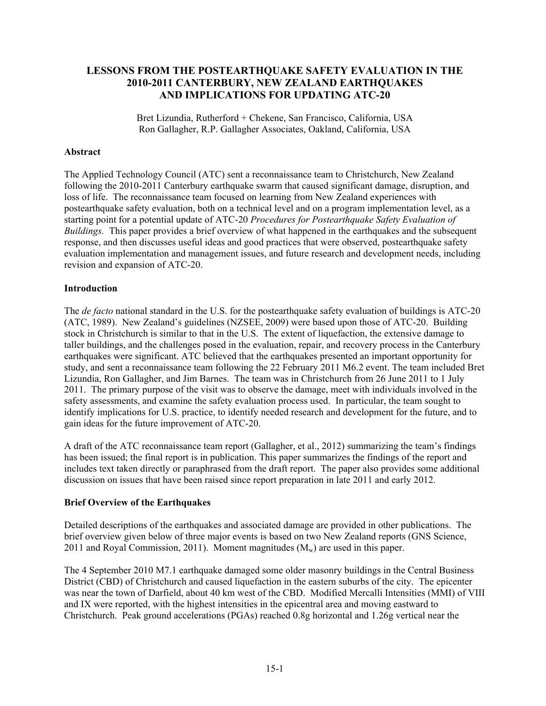## **LESSONS FROM THE POSTEARTHQUAKE SAFETY EVALUATION IN THE 2010-2011 CANTERBURY, NEW ZEALAND EARTHQUAKES AND IMPLICATIONS FOR UPDATING ATC-20**

Bret Lizundia, Rutherford + Chekene, San Francisco, California, USA Ron Gallagher, R.P. Gallagher Associates, Oakland, California, USA

### **Abstract**

The Applied Technology Council (ATC) sent a reconnaissance team to Christchurch, New Zealand following the 2010-2011 Canterbury earthquake swarm that caused significant damage, disruption, and loss of life. The reconnaissance team focused on learning from New Zealand experiences with postearthquake safety evaluation, both on a technical level and on a program implementation level, as a starting point for a potential update of ATC-20 *Procedures for Postearthquake Safety Evaluation of Buildings.* This paper provides a brief overview of what happened in the earthquakes and the subsequent response, and then discusses useful ideas and good practices that were observed, postearthquake safety evaluation implementation and management issues, and future research and development needs, including revision and expansion of ATC-20.

### **Introduction**

The *de facto* national standard in the U.S. for the postearthquake safety evaluation of buildings is ATC-20 (ATC, 1989). New Zealand's guidelines (NZSEE, 2009) were based upon those of ATC-20. Building stock in Christchurch is similar to that in the U.S. The extent of liquefaction, the extensive damage to taller buildings, and the challenges posed in the evaluation, repair, and recovery process in the Canterbury earthquakes were significant. ATC believed that the earthquakes presented an important opportunity for study, and sent a reconnaissance team following the 22 February 2011 M6.2 event. The team included Bret Lizundia, Ron Gallagher, and Jim Barnes. The team was in Christchurch from 26 June 2011 to 1 July 2011. The primary purpose of the visit was to observe the damage, meet with individuals involved in the safety assessments, and examine the safety evaluation process used. In particular, the team sought to identify implications for U.S. practice, to identify needed research and development for the future, and to gain ideas for the future improvement of ATC-20.

A draft of the ATC reconnaissance team report (Gallagher, et al., 2012) summarizing the team's findings has been issued; the final report is in publication. This paper summarizes the findings of the report and includes text taken directly or paraphrased from the draft report. The paper also provides some additional discussion on issues that have been raised since report preparation in late 2011 and early 2012.

### **Brief Overview of the Earthquakes**

Detailed descriptions of the earthquakes and associated damage are provided in other publications. The brief overview given below of three major events is based on two New Zealand reports (GNS Science, 2011 and Royal Commission, 2011). Moment magnitudes  $(M_w)$  are used in this paper.

The 4 September 2010 M7.1 earthquake damaged some older masonry buildings in the Central Business District (CBD) of Christchurch and caused liquefaction in the eastern suburbs of the city. The epicenter was near the town of Darfield, about 40 km west of the CBD. Modified Mercalli Intensities (MMI) of VIII and IX were reported, with the highest intensities in the epicentral area and moving eastward to Christchurch. Peak ground accelerations (PGAs) reached 0.8g horizontal and 1.26g vertical near the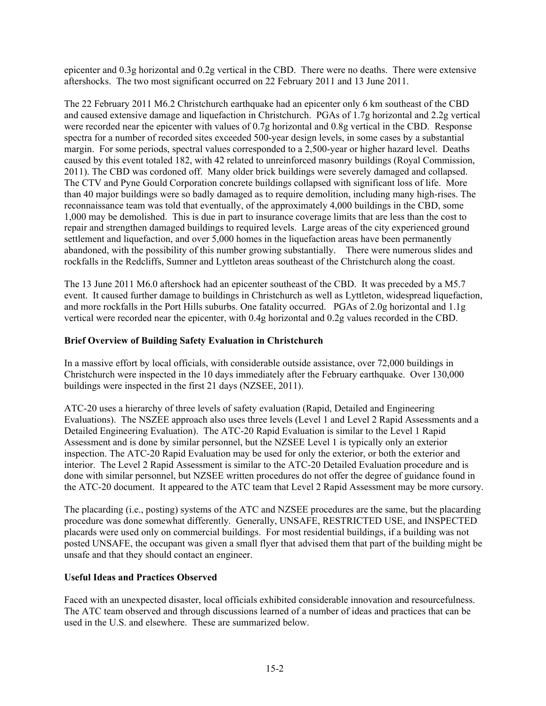epicenter and 0.3g horizontal and 0.2g vertical in the CBD. There were no deaths. There were extensive aftershocks. The two most significant occurred on 22 February 2011 and 13 June 2011.

The 22 February 2011 M6.2 Christchurch earthquake had an epicenter only 6 km southeast of the CBD and caused extensive damage and liquefaction in Christchurch. PGAs of 1.7g horizontal and 2.2g vertical were recorded near the epicenter with values of 0.7g horizontal and 0.8g vertical in the CBD. Response spectra for a number of recorded sites exceeded 500-year design levels, in some cases by a substantial margin. For some periods, spectral values corresponded to a 2,500-year or higher hazard level. Deaths caused by this event totaled 182, with 42 related to unreinforced masonry buildings (Royal Commission, 2011). The CBD was cordoned off. Many older brick buildings were severely damaged and collapsed. The CTV and Pyne Gould Corporation concrete buildings collapsed with significant loss of life. More than 40 major buildings were so badly damaged as to require demolition, including many high-rises. The reconnaissance team was told that eventually, of the approximately 4,000 buildings in the CBD, some 1,000 may be demolished. This is due in part to insurance coverage limits that are less than the cost to repair and strengthen damaged buildings to required levels. Large areas of the city experienced ground settlement and liquefaction, and over 5,000 homes in the liquefaction areas have been permanently abandoned, with the possibility of this number growing substantially. There were numerous slides and rockfalls in the Redcliffs, Sumner and Lyttleton areas southeast of the Christchurch along the coast.

The 13 June 2011 M6.0 aftershock had an epicenter southeast of the CBD. It was preceded by a M5.7 event. It caused further damage to buildings in Christchurch as well as Lyttleton, widespread liquefaction, and more rockfalls in the Port Hills suburbs. One fatality occurred. PGAs of 2.0g horizontal and 1.1g vertical were recorded near the epicenter, with 0.4g horizontal and 0.2g values recorded in the CBD.

## **Brief Overview of Building Safety Evaluation in Christchurch**

In a massive effort by local officials, with considerable outside assistance, over 72,000 buildings in Christchurch were inspected in the 10 days immediately after the February earthquake. Over 130,000 buildings were inspected in the first 21 days (NZSEE, 2011).

ATC-20 uses a hierarchy of three levels of safety evaluation (Rapid, Detailed and Engineering Evaluations). The NSZEE approach also uses three levels (Level 1 and Level 2 Rapid Assessments and a Detailed Engineering Evaluation). The ATC-20 Rapid Evaluation is similar to the Level 1 Rapid Assessment and is done by similar personnel, but the NZSEE Level 1 is typically only an exterior inspection. The ATC-20 Rapid Evaluation may be used for only the exterior, or both the exterior and interior. The Level 2 Rapid Assessment is similar to the ATC-20 Detailed Evaluation procedure and is done with similar personnel, but NZSEE written procedures do not offer the degree of guidance found in the ATC-20 document. It appeared to the ATC team that Level 2 Rapid Assessment may be more cursory.

The placarding (i.e., posting) systems of the ATC and NZSEE procedures are the same, but the placarding procedure was done somewhat differently. Generally, UNSAFE, RESTRICTED USE, and INSPECTED placards were used only on commercial buildings. For most residential buildings, if a building was not posted UNSAFE, the occupant was given a small flyer that advised them that part of the building might be unsafe and that they should contact an engineer.

### **Useful Ideas and Practices Observed**

Faced with an unexpected disaster, local officials exhibited considerable innovation and resourcefulness. The ATC team observed and through discussions learned of a number of ideas and practices that can be used in the U.S. and elsewhere. These are summarized below.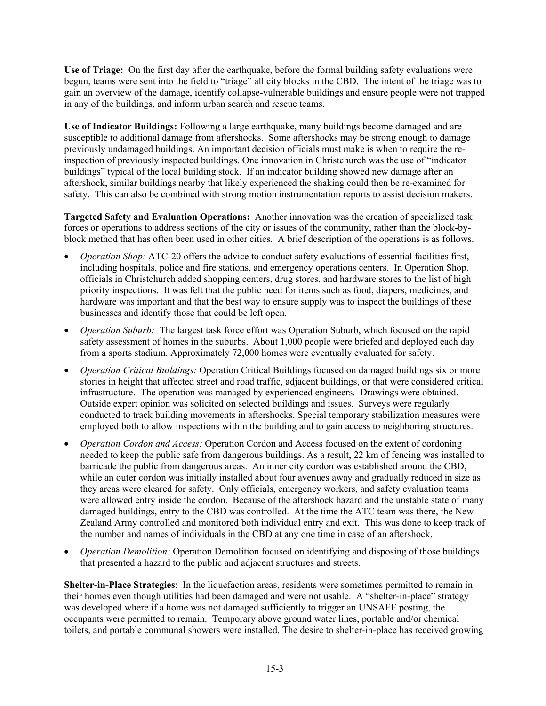**Use of Triage:** On the first day after the earthquake, before the formal building safety evaluations were begun, teams were sent into the field to "triage" all city blocks in the CBD. The intent of the triage was to gain an overview of the damage, identify collapse-vulnerable buildings and ensure people were not trapped in any of the buildings, and inform urban search and rescue teams.

**Use of Indicator Buildings:** Following a large earthquake, many buildings become damaged and are susceptible to additional damage from aftershocks. Some aftershocks may be strong enough to damage previously undamaged buildings. An important decision officials must make is when to require the reinspection of previously inspected buildings. One innovation in Christchurch was the use of "indicator buildings" typical of the local building stock. If an indicator building showed new damage after an aftershock, similar buildings nearby that likely experienced the shaking could then be re-examined for safety. This can also be combined with strong motion instrumentation reports to assist decision makers.

**Targeted Safety and Evaluation Operations:** Another innovation was the creation of specialized task forces or operations to address sections of the city or issues of the community, rather than the block-byblock method that has often been used in other cities. A brief description of the operations is as follows.

- *Operation Shop:* ATC-20 offers the advice to conduct safety evaluations of essential facilities first, including hospitals, police and fire stations, and emergency operations centers. In Operation Shop, officials in Christchurch added shopping centers, drug stores, and hardware stores to the list of high priority inspections. It was felt that the public need for items such as food, diapers, medicines, and hardware was important and that the best way to ensure supply was to inspect the buildings of these businesses and identify those that could be left open.
- *Operation Suburb:* The largest task force effort was Operation Suburb, which focused on the rapid safety assessment of homes in the suburbs. About 1,000 people were briefed and deployed each day from a sports stadium. Approximately 72,000 homes were eventually evaluated for safety.
- *Operation Critical Buildings:* Operation Critical Buildings focused on damaged buildings six or more stories in height that affected street and road traffic, adjacent buildings, or that were considered critical infrastructure. The operation was managed by experienced engineers. Drawings were obtained. Outside expert opinion was solicited on selected buildings and issues. Surveys were regularly conducted to track building movements in aftershocks. Special temporary stabilization measures were employed both to allow inspections within the building and to gain access to neighboring structures.
- *Operation Cordon and Access:* Operation Cordon and Access focused on the extent of cordoning needed to keep the public safe from dangerous buildings. As a result, 22 km of fencing was installed to barricade the public from dangerous areas. An inner city cordon was established around the CBD, while an outer cordon was initially installed about four avenues away and gradually reduced in size as they areas were cleared for safety. Only officials, emergency workers, and safety evaluation teams were allowed entry inside the cordon. Because of the aftershock hazard and the unstable state of many damaged buildings, entry to the CBD was controlled. At the time the ATC team was there, the New Zealand Army controlled and monitored both individual entry and exit. This was done to keep track of the number and names of individuals in the CBD at any one time in case of an aftershock.
- *Operation Demolition:* Operation Demolition focused on identifying and disposing of those buildings that presented a hazard to the public and adjacent structures and streets.

**Shelter-in-Place Strategies**: In the liquefaction areas, residents were sometimes permitted to remain in their homes even though utilities had been damaged and were not usable. A "shelter-in-place" strategy was developed where if a home was not damaged sufficiently to trigger an UNSAFE posting, the occupants were permitted to remain. Temporary above ground water lines, portable and/or chemical toilets, and portable communal showers were installed. The desire to shelter-in-place has received growing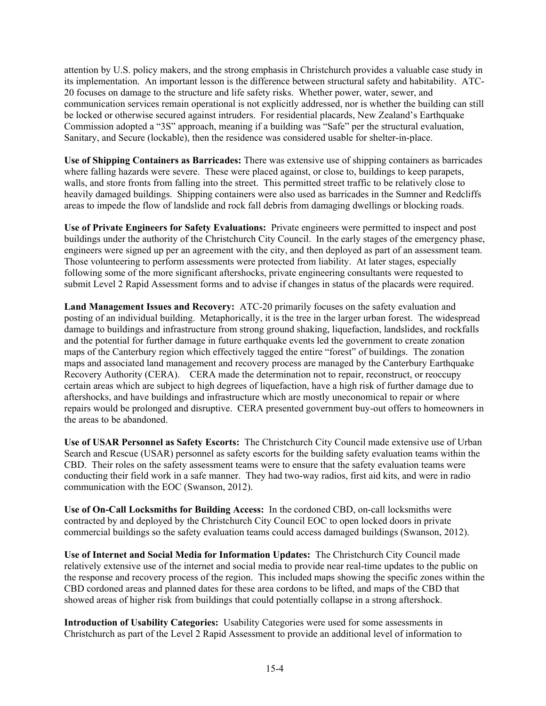attention by U.S. policy makers, and the strong emphasis in Christchurch provides a valuable case study in its implementation. An important lesson is the difference between structural safety and habitability. ATC-20 focuses on damage to the structure and life safety risks. Whether power, water, sewer, and communication services remain operational is not explicitly addressed, nor is whether the building can still be locked or otherwise secured against intruders. For residential placards, New Zealand's Earthquake Commission adopted a "3S" approach, meaning if a building was "Safe" per the structural evaluation, Sanitary, and Secure (lockable), then the residence was considered usable for shelter-in-place.

**Use of Shipping Containers as Barricades:** There was extensive use of shipping containers as barricades where falling hazards were severe. These were placed against, or close to, buildings to keep parapets, walls, and store fronts from falling into the street. This permitted street traffic to be relatively close to heavily damaged buildings. Shipping containers were also used as barricades in the Sumner and Redcliffs areas to impede the flow of landslide and rock fall debris from damaging dwellings or blocking roads.

**Use of Private Engineers for Safety Evaluations:** Private engineers were permitted to inspect and post buildings under the authority of the Christchurch City Council. In the early stages of the emergency phase, engineers were signed up per an agreement with the city, and then deployed as part of an assessment team. Those volunteering to perform assessments were protected from liability. At later stages, especially following some of the more significant aftershocks, private engineering consultants were requested to submit Level 2 Rapid Assessment forms and to advise if changes in status of the placards were required.

**Land Management Issues and Recovery:** ATC-20 primarily focuses on the safety evaluation and posting of an individual building. Metaphorically, it is the tree in the larger urban forest. The widespread damage to buildings and infrastructure from strong ground shaking, liquefaction, landslides, and rockfalls and the potential for further damage in future earthquake events led the government to create zonation maps of the Canterbury region which effectively tagged the entire "forest" of buildings. The zonation maps and associated land management and recovery process are managed by the Canterbury Earthquake Recovery Authority (CERA). CERA made the determination not to repair, reconstruct, or reoccupy certain areas which are subject to high degrees of liquefaction, have a high risk of further damage due to aftershocks, and have buildings and infrastructure which are mostly uneconomical to repair or where repairs would be prolonged and disruptive. CERA presented government buy-out offers to homeowners in the areas to be abandoned.

**Use of USAR Personnel as Safety Escorts:** The Christchurch City Council made extensive use of Urban Search and Rescue (USAR) personnel as safety escorts for the building safety evaluation teams within the CBD. Their roles on the safety assessment teams were to ensure that the safety evaluation teams were conducting their field work in a safe manner. They had two-way radios, first aid kits, and were in radio communication with the EOC (Swanson, 2012).

**Use of On-Call Locksmiths for Building Access:** In the cordoned CBD, on-call locksmiths were contracted by and deployed by the Christchurch City Council EOC to open locked doors in private commercial buildings so the safety evaluation teams could access damaged buildings (Swanson, 2012).

**Use of Internet and Social Media for Information Updates:** The Christchurch City Council made relatively extensive use of the internet and social media to provide near real-time updates to the public on the response and recovery process of the region. This included maps showing the specific zones within the CBD cordoned areas and planned dates for these area cordons to be lifted, and maps of the CBD that showed areas of higher risk from buildings that could potentially collapse in a strong aftershock.

**Introduction of Usability Categories:** Usability Categories were used for some assessments in Christchurch as part of the Level 2 Rapid Assessment to provide an additional level of information to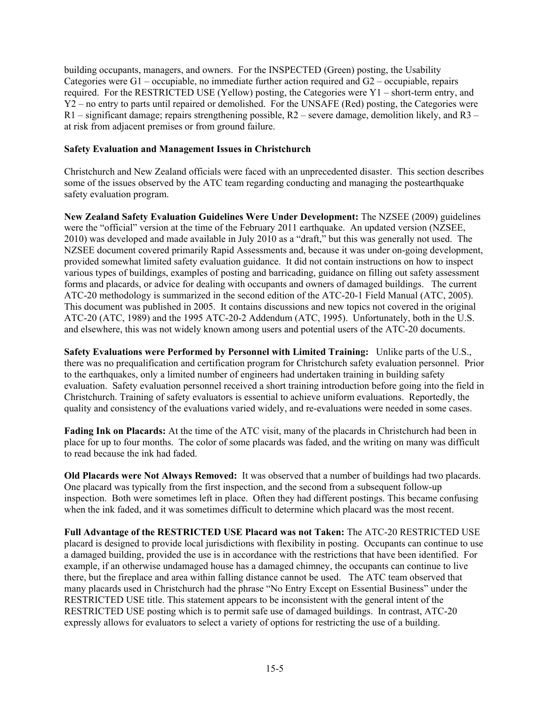building occupants, managers, and owners. For the INSPECTED (Green) posting, the Usability Categories were G1 – occupiable, no immediate further action required and G2 – occupiable, repairs required. For the RESTRICTED USE (Yellow) posting, the Categories were Y1 – short-term entry, and Y2 – no entry to parts until repaired or demolished. For the UNSAFE (Red) posting, the Categories were  $R1$  – significant damage; repairs strengthening possible,  $R2$  – severe damage, demolition likely, and  $R3$  – at risk from adjacent premises or from ground failure.

### **Safety Evaluation and Management Issues in Christchurch**

Christchurch and New Zealand officials were faced with an unprecedented disaster. This section describes some of the issues observed by the ATC team regarding conducting and managing the postearthquake safety evaluation program.

**New Zealand Safety Evaluation Guidelines Were Under Development:** The NZSEE (2009) guidelines were the "official" version at the time of the February 2011 earthquake. An updated version (NZSEE, 2010) was developed and made available in July 2010 as a "draft," but this was generally not used. The NZSEE document covered primarily Rapid Assessments and, because it was under on-going development, provided somewhat limited safety evaluation guidance. It did not contain instructions on how to inspect various types of buildings, examples of posting and barricading, guidance on filling out safety assessment forms and placards, or advice for dealing with occupants and owners of damaged buildings. The current ATC-20 methodology is summarized in the second edition of the ATC-20-1 Field Manual (ATC, 2005). This document was published in 2005. It contains discussions and new topics not covered in the original ATC-20 (ATC, 1989) and the 1995 ATC-20-2 Addendum (ATC, 1995). Unfortunately, both in the U.S. and elsewhere, this was not widely known among users and potential users of the ATC-20 documents.

**Safety Evaluations were Performed by Personnel with Limited Training:** Unlike parts of the U.S., there was no prequalification and certification program for Christchurch safety evaluation personnel. Prior to the earthquakes, only a limited number of engineers had undertaken training in building safety evaluation. Safety evaluation personnel received a short training introduction before going into the field in Christchurch. Training of safety evaluators is essential to achieve uniform evaluations. Reportedly, the quality and consistency of the evaluations varied widely, and re-evaluations were needed in some cases.

**Fading Ink on Placards:** At the time of the ATC visit, many of the placards in Christchurch had been in place for up to four months. The color of some placards was faded, and the writing on many was difficult to read because the ink had faded.

**Old Placards were Not Always Removed:** It was observed that a number of buildings had two placards. One placard was typically from the first inspection, and the second from a subsequent follow-up inspection. Both were sometimes left in place. Often they had different postings. This became confusing when the ink faded, and it was sometimes difficult to determine which placard was the most recent.

**Full Advantage of the RESTRICTED USE Placard was not Taken:** The ATC-20 RESTRICTED USE placard is designed to provide local jurisdictions with flexibility in posting. Occupants can continue to use a damaged building, provided the use is in accordance with the restrictions that have been identified. For example, if an otherwise undamaged house has a damaged chimney, the occupants can continue to live there, but the fireplace and area within falling distance cannot be used. The ATC team observed that many placards used in Christchurch had the phrase "No Entry Except on Essential Business" under the RESTRICTED USE title. This statement appears to be inconsistent with the general intent of the RESTRICTED USE posting which is to permit safe use of damaged buildings. In contrast, ATC-20 expressly allows for evaluators to select a variety of options for restricting the use of a building.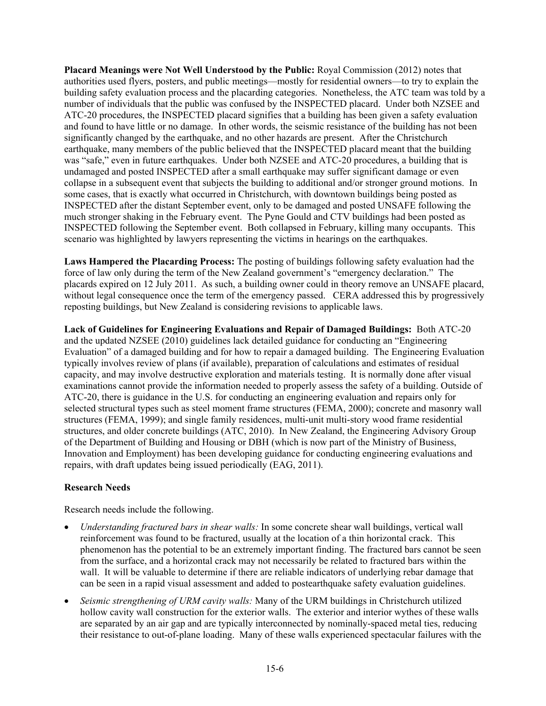**Placard Meanings were Not Well Understood by the Public:** Royal Commission (2012) notes that authorities used flyers, posters, and public meetings—mostly for residential owners—to try to explain the building safety evaluation process and the placarding categories. Nonetheless, the ATC team was told by a number of individuals that the public was confused by the INSPECTED placard. Under both NZSEE and ATC-20 procedures, the INSPECTED placard signifies that a building has been given a safety evaluation and found to have little or no damage. In other words, the seismic resistance of the building has not been significantly changed by the earthquake, and no other hazards are present.After the Christchurch earthquake, many members of the public believed that the INSPECTED placard meant that the building was "safe," even in future earthquakes. Under both NZSEE and ATC-20 procedures, a building that is undamaged and posted INSPECTED after a small earthquake may suffer significant damage or even collapse in a subsequent event that subjects the building to additional and/or stronger ground motions. In some cases, that is exactly what occurred in Christchurch, with downtown buildings being posted as INSPECTED after the distant September event, only to be damaged and posted UNSAFE following the much stronger shaking in the February event. The Pyne Gould and CTV buildings had been posted as INSPECTED following the September event. Both collapsed in February, killing many occupants. This scenario was highlighted by lawyers representing the victims in hearings on the earthquakes.

**Laws Hampered the Placarding Process:** The posting of buildings following safety evaluation had the force of law only during the term of the New Zealand government's "emergency declaration." The placards expired on 12 July 2011. As such, a building owner could in theory remove an UNSAFE placard, without legal consequence once the term of the emergency passed. CERA addressed this by progressively reposting buildings, but New Zealand is considering revisions to applicable laws.

**Lack of Guidelines for Engineering Evaluations and Repair of Damaged Buildings:** Both ATC-20 and the updated NZSEE (2010) guidelines lack detailed guidance for conducting an "Engineering Evaluation" of a damaged building and for how to repair a damaged building. The Engineering Evaluation typically involves review of plans (if available), preparation of calculations and estimates of residual capacity, and may involve destructive exploration and materials testing. It is normally done after visual examinations cannot provide the information needed to properly assess the safety of a building. Outside of ATC-20, there is guidance in the U.S. for conducting an engineering evaluation and repairs only for selected structural types such as steel moment frame structures (FEMA, 2000); concrete and masonry wall structures (FEMA, 1999); and single family residences, multi-unit multi-story wood frame residential structures, and older concrete buildings (ATC, 2010). In New Zealand, the Engineering Advisory Group of the Department of Building and Housing or DBH (which is now part of the Ministry of Business, Innovation and Employment) has been developing guidance for conducting engineering evaluations and repairs, with draft updates being issued periodically (EAG, 2011).

## **Research Needs**

Research needs include the following.

- *Understanding fractured bars in shear walls:* In some concrete shear wall buildings, vertical wall reinforcement was found to be fractured, usually at the location of a thin horizontal crack. This phenomenon has the potential to be an extremely important finding. The fractured bars cannot be seen from the surface, and a horizontal crack may not necessarily be related to fractured bars within the wall. It will be valuable to determine if there are reliable indicators of underlying rebar damage that can be seen in a rapid visual assessment and added to postearthquake safety evaluation guidelines.
- *Seismic strengthening of URM cavity walls:* Many of the URM buildings in Christchurch utilized hollow cavity wall construction for the exterior walls. The exterior and interior wythes of these walls are separated by an air gap and are typically interconnected by nominally-spaced metal ties, reducing their resistance to out-of-plane loading. Many of these walls experienced spectacular failures with the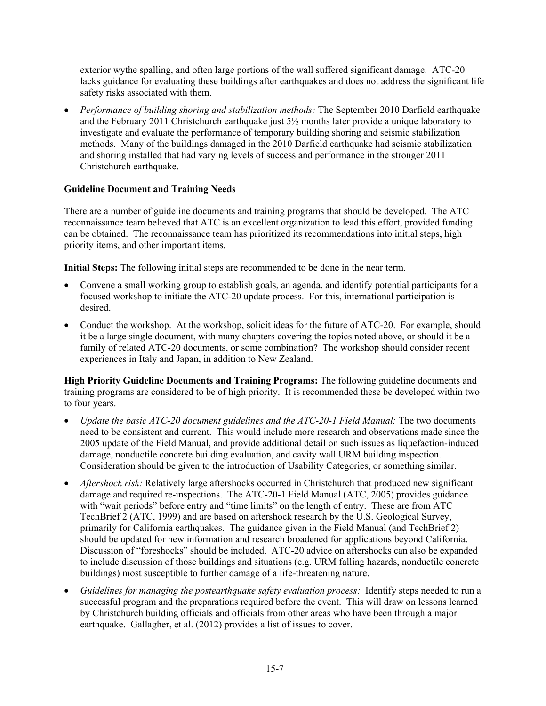exterior wythe spalling, and often large portions of the wall suffered significant damage. ATC-20 lacks guidance for evaluating these buildings after earthquakes and does not address the significant life safety risks associated with them.

 *Performance of building shoring and stabilization methods:* The September 2010 Darfield earthquake and the February 2011 Christchurch earthquake just 5½ months later provide a unique laboratory to investigate and evaluate the performance of temporary building shoring and seismic stabilization methods. Many of the buildings damaged in the 2010 Darfield earthquake had seismic stabilization and shoring installed that had varying levels of success and performance in the stronger 2011 Christchurch earthquake.

# **Guideline Document and Training Needs**

There are a number of guideline documents and training programs that should be developed. The ATC reconnaissance team believed that ATC is an excellent organization to lead this effort, provided funding can be obtained. The reconnaissance team has prioritized its recommendations into initial steps, high priority items, and other important items.

**Initial Steps:** The following initial steps are recommended to be done in the near term.

- Convene a small working group to establish goals, an agenda, and identify potential participants for a focused workshop to initiate the ATC-20 update process. For this, international participation is desired.
- Conduct the workshop. At the workshop, solicit ideas for the future of ATC-20. For example, should it be a large single document, with many chapters covering the topics noted above, or should it be a family of related ATC-20 documents, or some combination? The workshop should consider recent experiences in Italy and Japan, in addition to New Zealand.

**High Priority Guideline Documents and Training Programs:** The following guideline documents and training programs are considered to be of high priority. It is recommended these be developed within two to four years.

- *Update the basic ATC-20 document guidelines and the ATC-20-1 Field Manual:* The two documents need to be consistent and current. This would include more research and observations made since the 2005 update of the Field Manual, and provide additional detail on such issues as liquefaction-induced damage, nonductile concrete building evaluation, and cavity wall URM building inspection. Consideration should be given to the introduction of Usability Categories, or something similar.
- *Aftershock risk:* Relatively large aftershocks occurred in Christchurch that produced new significant damage and required re-inspections.The ATC-20-1 Field Manual (ATC, 2005) provides guidance with "wait periods" before entry and "time limits" on the length of entry. These are from ATC TechBrief 2 (ATC, 1999) and are based on aftershock research by the U.S. Geological Survey, primarily for California earthquakes. The guidance given in the Field Manual (and TechBrief 2) should be updated for new information and research broadened for applications beyond California. Discussion of "foreshocks" should be included.ATC-20 advice on aftershocks can also be expanded to include discussion of those buildings and situations (e.g. URM falling hazards, nonductile concrete buildings) most susceptible to further damage of a life-threatening nature.
- *Guidelines for managing the postearthquake safety evaluation process:* Identify steps needed to run a successful program and the preparations required before the event. This will draw on lessons learned by Christchurch building officials and officials from other areas who have been through a major earthquake. Gallagher, et al. (2012) provides a list of issues to cover.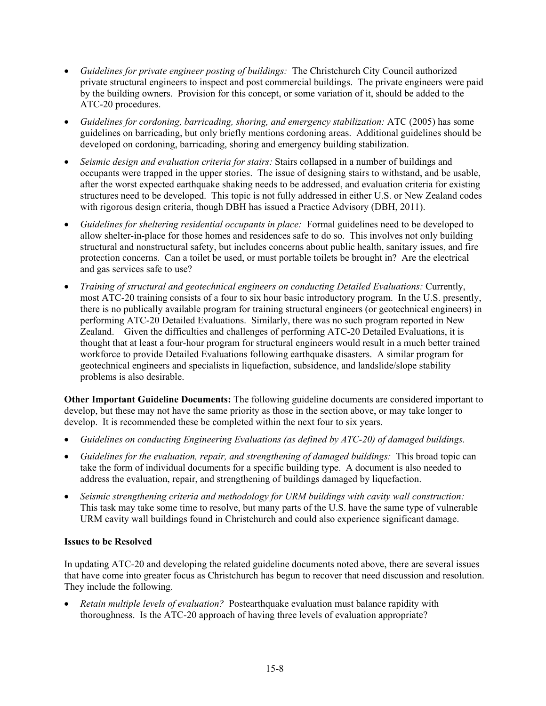- *Guidelines for private engineer posting of buildings:* The Christchurch City Council authorized private structural engineers to inspect and post commercial buildings. The private engineers were paid by the building owners. Provision for this concept, or some variation of it, should be added to the ATC-20 procedures.
- *Guidelines for cordoning, barricading, shoring, and emergency stabilization:* ATC (2005) has some guidelines on barricading, but only briefly mentions cordoning areas. Additional guidelines should be developed on cordoning, barricading, shoring and emergency building stabilization.
- *Seismic design and evaluation criteria for stairs:* Stairs collapsed in a number of buildings and occupants were trapped in the upper stories. The issue of designing stairs to withstand, and be usable, after the worst expected earthquake shaking needs to be addressed, and evaluation criteria for existing structures need to be developed. This topic is not fully addressed in either U.S. or New Zealand codes with rigorous design criteria, though DBH has issued a Practice Advisory (DBH, 2011).
- *Guidelines for sheltering residential occupants in place:* Formal guidelines need to be developed to allow shelter-in-place for those homes and residences safe to do so. This involves not only building structural and nonstructural safety, but includes concerns about public health, sanitary issues, and fire protection concerns. Can a toilet be used, or must portable toilets be brought in? Are the electrical and gas services safe to use?
- *Training of structural and geotechnical engineers on conducting Detailed Evaluations:* Currently, most ATC-20 training consists of a four to six hour basic introductory program. In the U.S. presently, there is no publically available program for training structural engineers (or geotechnical engineers) in performing ATC-20 Detailed Evaluations. Similarly, there was no such program reported in New Zealand. Given the difficulties and challenges of performing ATC-20 Detailed Evaluations, it is thought that at least a four-hour program for structural engineers would result in a much better trained workforce to provide Detailed Evaluations following earthquake disasters. A similar program for geotechnical engineers and specialists in liquefaction, subsidence, and landslide/slope stability problems is also desirable.

**Other Important Guideline Documents:** The following guideline documents are considered important to develop, but these may not have the same priority as those in the section above, or may take longer to develop. It is recommended these be completed within the next four to six years.

- *Guidelines on conducting Engineering Evaluations (as defined by ATC-20) of damaged buildings.*
- *Guidelines for the evaluation, repair, and strengthening of damaged buildings:* This broad topic can take the form of individual documents for a specific building type. A document is also needed to address the evaluation, repair, and strengthening of buildings damaged by liquefaction.
- *Seismic strengthening criteria and methodology for URM buildings with cavity wall construction:* This task may take some time to resolve, but many parts of the U.S. have the same type of vulnerable URM cavity wall buildings found in Christchurch and could also experience significant damage.

## **Issues to be Resolved**

In updating ATC-20 and developing the related guideline documents noted above, there are several issues that have come into greater focus as Christchurch has begun to recover that need discussion and resolution. They include the following.

 *Retain multiple levels of evaluation?* Postearthquake evaluation must balance rapidity with thoroughness. Is the ATC-20 approach of having three levels of evaluation appropriate?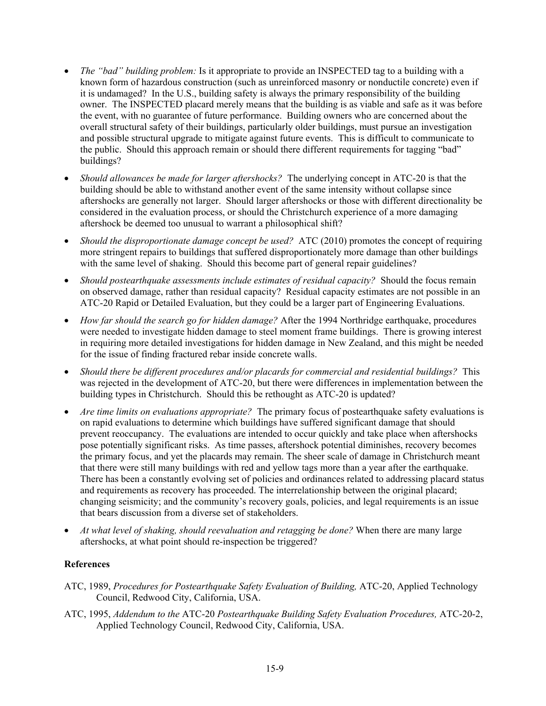- *The "bad" building problem:* Is it appropriate to provide an INSPECTED tag to a building with a known form of hazardous construction (such as unreinforced masonry or nonductile concrete) even if it is undamaged? In the U.S., building safety is always the primary responsibility of the building owner. The INSPECTED placard merely means that the building is as viable and safe as it was before the event, with no guarantee of future performance. Building owners who are concerned about the overall structural safety of their buildings, particularly older buildings, must pursue an investigation and possible structural upgrade to mitigate against future events. This is difficult to communicate to the public. Should this approach remain or should there different requirements for tagging "bad" buildings?
- *Should allowances be made for larger aftershocks?* The underlying concept in ATC-20 is that the building should be able to withstand another event of the same intensity without collapse since aftershocks are generally not larger. Should larger aftershocks or those with different directionality be considered in the evaluation process, or should the Christchurch experience of a more damaging aftershock be deemed too unusual to warrant a philosophical shift?
- *Should the disproportionate damage concept be used?* ATC (2010) promotes the concept of requiring more stringent repairs to buildings that suffered disproportionately more damage than other buildings with the same level of shaking. Should this become part of general repair guidelines?
- *Should postearthquake assessments include estimates of residual capacity?* Should the focus remain on observed damage, rather than residual capacity? Residual capacity estimates are not possible in an ATC-20 Rapid or Detailed Evaluation, but they could be a larger part of Engineering Evaluations.
- *How far should the search go for hidden damage?* After the 1994 Northridge earthquake, procedures were needed to investigate hidden damage to steel moment frame buildings. There is growing interest in requiring more detailed investigations for hidden damage in New Zealand, and this might be needed for the issue of finding fractured rebar inside concrete walls.
- *Should there be different procedures and/or placards for commercial and residential buildings?* This was rejected in the development of ATC-20, but there were differences in implementation between the building types in Christchurch. Should this be rethought as ATC-20 is updated?
- *Are time limits on evaluations appropriate?* The primary focus of postearthquake safety evaluations is on rapid evaluations to determine which buildings have suffered significant damage that should prevent reoccupancy. The evaluations are intended to occur quickly and take place when aftershocks pose potentially significant risks. As time passes, aftershock potential diminishes, recovery becomes the primary focus, and yet the placards may remain. The sheer scale of damage in Christchurch meant that there were still many buildings with red and yellow tags more than a year after the earthquake. There has been a constantly evolving set of policies and ordinances related to addressing placard status and requirements as recovery has proceeded. The interrelationship between the original placard; changing seismicity; and the community's recovery goals, policies, and legal requirements is an issue that bears discussion from a diverse set of stakeholders.
- *At what level of shaking, should reevaluation and retagging be done?* When there are many large aftershocks, at what point should re-inspection be triggered?

## **References**

- ATC, 1989, *Procedures for Postearthquake Safety Evaluation of Building,* ATC-20, Applied Technology Council, Redwood City, California, USA.
- ATC, 1995, *Addendum to the* ATC-20 *Postearthquake Building Safety Evaluation Procedures,* ATC-20-2, Applied Technology Council, Redwood City, California, USA.